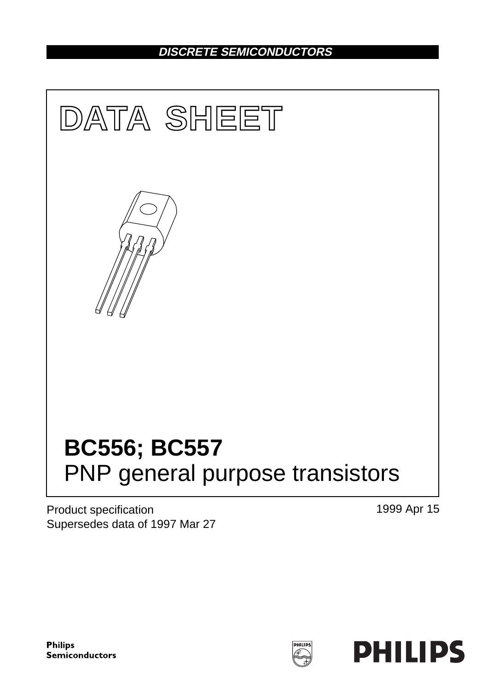## **DISCRETE SEMICONDUCTORS**



Product specification Supersedes data of 1997 Mar 27 1999 Apr 15

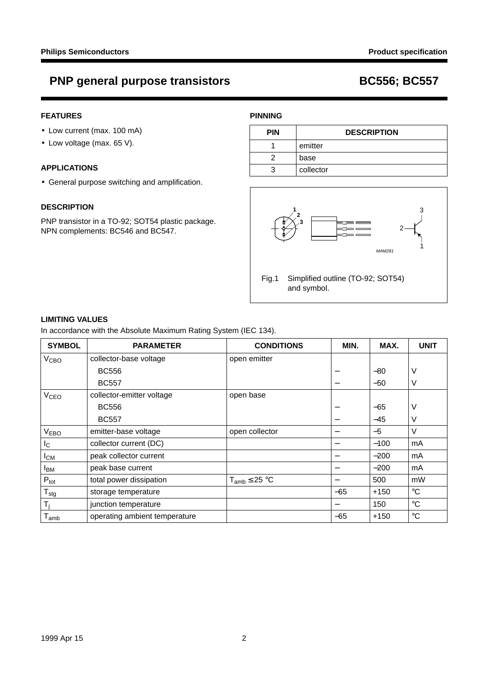## **PNP general purpose transistors BC556; BC557**

## **FEATURES**

- Low current (max. 100 mA)
- Low voltage (max. 65 V).

### **APPLICATIONS**

• General purpose switching and amplification.

### **DESCRIPTION**

PNP transistor in a TO-92; SOT54 plastic package. NPN complements: BC546 and BC547.

## **PINNING**

| <b>PIN</b> | <b>DESCRIPTION</b> |  |
|------------|--------------------|--|
|            | emitter            |  |
|            | base               |  |
| З          | collector          |  |



## **LIMITING VALUES**

In accordance with the Absolute Maximum Rating System (IEC 134).

| <b>SYMBOL</b>               | <b>PARAMETER</b>              | <b>CONDITIONS</b>    | MIN.                             | MAX.   | <b>UNIT</b>       |
|-----------------------------|-------------------------------|----------------------|----------------------------------|--------|-------------------|
| V <sub>CBO</sub>            | collector-base voltage        | open emitter         |                                  |        |                   |
|                             | <b>BC556</b>                  |                      | —                                | $-80$  | ν                 |
|                             | <b>BC557</b>                  |                      |                                  | $-50$  | V                 |
| V <sub>CEO</sub>            | collector-emitter voltage     | open base            |                                  |        |                   |
|                             | <b>BC556</b>                  |                      | $\overbrace{\phantom{12322111}}$ | $-65$  | ν                 |
|                             | <b>BC557</b>                  |                      |                                  | $-45$  | ν                 |
| V <sub>EBO</sub>            | emitter-base voltage          | open collector       | $\overline{\phantom{m}}$         | $-5$   | $\vee$            |
| $I_{\rm C}$                 | collector current (DC)        |                      |                                  | $-100$ | mA                |
| $I_{CM}$                    | peak collector current        |                      |                                  | $-200$ | mA                |
| <b>I</b> <sub>BM</sub>      | peak base current             |                      |                                  | $-200$ | mA                |
| $P_{\text{tot}}$            | total power dissipation       | $T_{amb} \leq 25 °C$ | —                                | 500    | mW                |
| $T_{\text{stg}}$            | storage temperature           |                      | $-65$                            | $+150$ | $^\circ \text{C}$ |
| T <sub>i</sub>              | junction temperature          |                      | —                                | 150    | $^{\circ}C$       |
| $\mathsf{T}_{\mathsf{amb}}$ | operating ambient temperature |                      | $-65$                            | $+150$ | $^{\circ}C$       |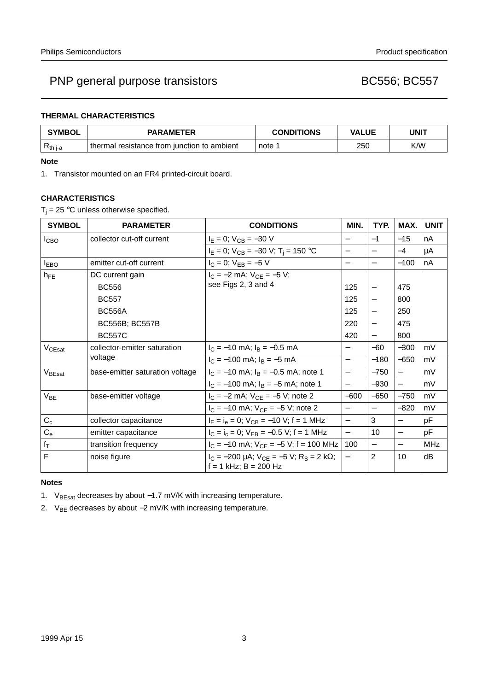## **THERMAL CHARACTERISTICS**

| <b>SYMBOL</b> | <b>PARAMETER</b>                            | <b>CONDITIONS</b> | <b>VALUE</b> | UNIT |  |
|---------------|---------------------------------------------|-------------------|--------------|------|--|
| $R_{th i-a}$  | thermal resistance from junction to ambient | note 1            | 250          | K/W  |  |

### **Note**

1. Transistor mounted on an FR4 printed-circuit board.

## **CHARACTERISTICS**

 $T_i = 25$  °C unless otherwise specified.

| <b>SYMBOL</b>      | <b>PARAMETER</b>                        | <b>CONDITIONS</b>                                                                        | MIN.                     | TYP.                     | MAX.                     | <b>UNIT</b> |
|--------------------|-----------------------------------------|------------------------------------------------------------------------------------------|--------------------------|--------------------------|--------------------------|-------------|
| <b>I</b> CBO       | collector cut-off current               | $I_E = 0$ ; $V_{CB} = -30$ V                                                             | $\overline{\phantom{0}}$ | $-1$                     | $-15$                    | nA          |
|                    |                                         | $I_E = 0$ ; $V_{CB} = -30$ V; $T_i = 150$ °C                                             | $\qquad \qquad -$        | $\overline{\phantom{0}}$ | $-4$                     | μA          |
| $I_{EBO}$          | emitter cut-off current                 | $I_C = 0$ ; $V_{EB} = -5$ V                                                              | $\overline{\phantom{0}}$ | $\overline{\phantom{0}}$ | $-100$                   | nA          |
| $h_{FE}$           | DC current gain                         | $I_C = -2$ mA; $V_{CF} = -5$ V;<br>see Figs 2, 3 and 4                                   |                          |                          |                          |             |
|                    | <b>BC556</b>                            |                                                                                          | 125                      |                          | 475                      |             |
|                    | <b>BC557</b>                            |                                                                                          | 125                      |                          | 800                      |             |
|                    | <b>BC556A</b>                           |                                                                                          | 125                      |                          | 250                      |             |
|                    | <b>BC556B; BC557B</b>                   |                                                                                          | 220                      |                          | 475                      |             |
|                    | <b>BC557C</b>                           |                                                                                          | 420                      |                          | 800                      |             |
| $V_{CEsat}$        | collector-emitter saturation<br>voltage | $I_C = -10$ mA; $I_B = -0.5$ mA                                                          | $\overline{\phantom{0}}$ | $-60$                    | $-300$                   | mV          |
|                    |                                         | $I_C = -100$ mA; $I_B = -5$ mA                                                           | $\qquad \qquad -$        | $-180$                   | $-650$                   | mV          |
| V <sub>BEsat</sub> | base-emitter saturation voltage         | $I_C = -10$ mA; $I_B = -0.5$ mA; note 1                                                  | $\overline{\phantom{0}}$ | $-750$                   | $\overline{\phantom{0}}$ | mV          |
|                    |                                         | $I_C = -100$ mA; $I_B = -5$ mA; note 1                                                   | $\qquad \qquad -$        | $-930$                   | $\overline{\phantom{0}}$ | mV          |
| $V_{BE}$           | base-emitter voltage                    | $I_C = -2$ mA; $V_{CE} = -5$ V; note 2                                                   | $-600$                   | $-650$                   | $-750$                   | mV          |
|                    |                                         | $I_C = -10$ mA; $V_{CF} = -5$ V; note 2                                                  | $\equiv$                 | $\qquad \qquad -$        | $-820$                   | mV          |
| $C_c$              | collector capacitance                   | $I_E = I_e = 0$ ; $V_{CB} = -10$ V; f = 1 MHz                                            | $\equiv$                 | 3                        |                          | pF          |
| $C_{e}$            | emitter capacitance                     | $I_C = I_c = 0$ ; $V_{EB} = -0.5$ V; f = 1 MHz                                           | $\equiv$                 | 10                       | $\overline{\phantom{0}}$ | pF          |
| $f_T$              | transition frequency                    | $I_C = -10$ mA; $V_{CE} = -5$ V; f = 100 MHz                                             | 100                      | $\overline{\phantom{0}}$ | $\qquad \qquad -$        | <b>MHz</b>  |
| F                  | noise figure                            | $I_C = -200 \mu A$ ; $V_{CE} = -5 V$ ; R <sub>S</sub> = 2 kΩ;<br>$f = 1$ kHz; B = 200 Hz | $\overline{\phantom{0}}$ | $\overline{2}$           | 10                       | dB          |

## **Notes**

1. V<sub>BEsat</sub> decreases by about −1.7 mV/K with increasing temperature.

2. V<sub>BE</sub> decreases by about −2 mV/K with increasing temperature.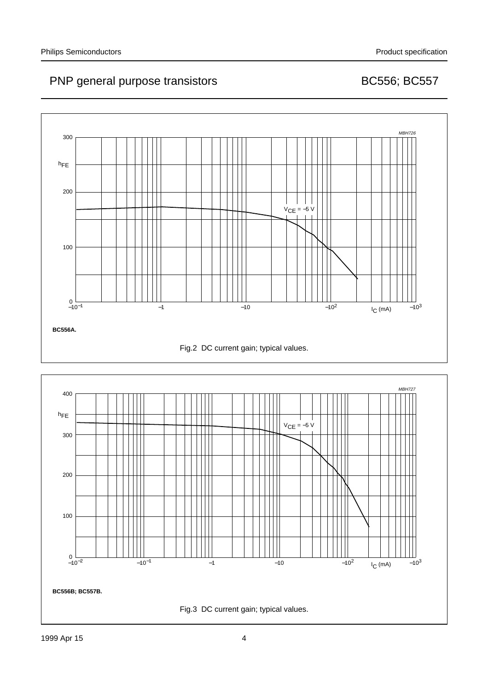

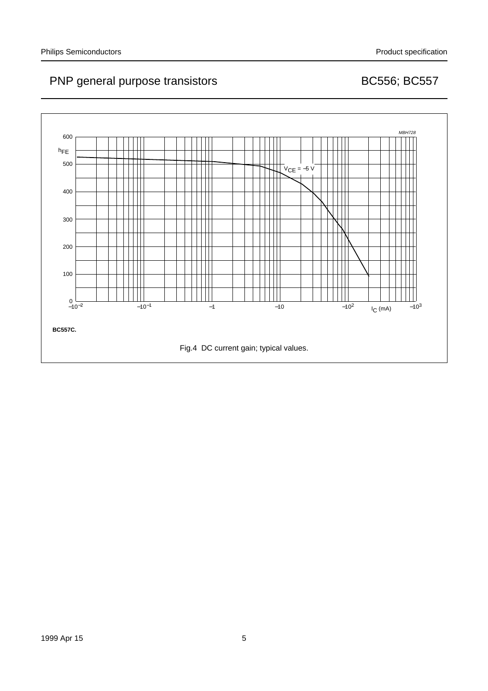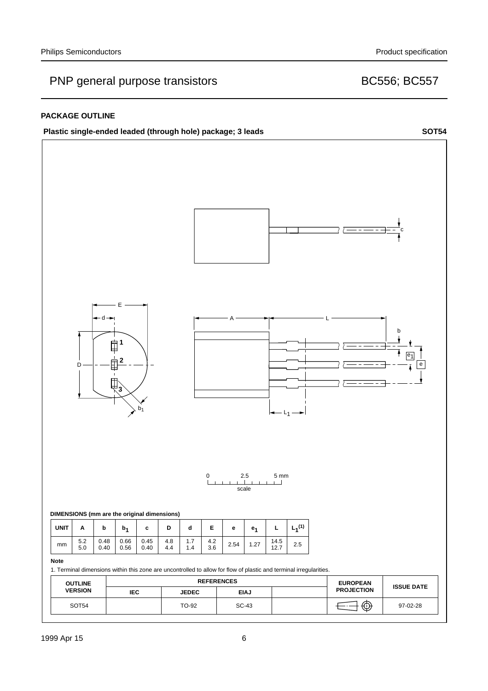## **PACKAGE OUTLINE**



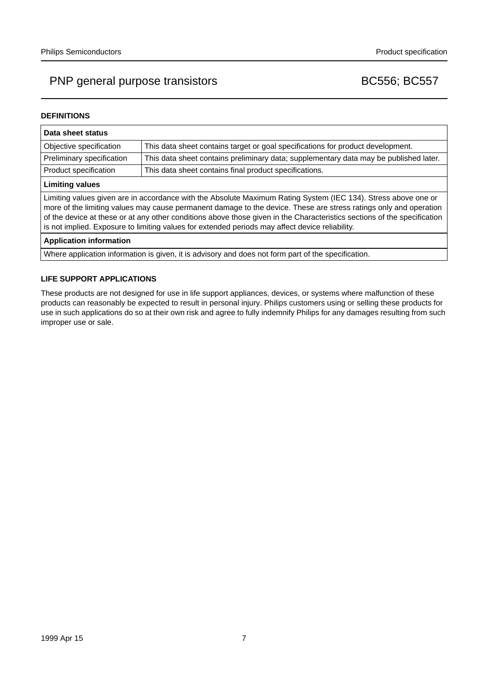### **DEFINITIONS**

| Data sheet status                                                                                                                                                                                                                                                                                                                                                                                                                                                  |                                                                                       |  |  |  |
|--------------------------------------------------------------------------------------------------------------------------------------------------------------------------------------------------------------------------------------------------------------------------------------------------------------------------------------------------------------------------------------------------------------------------------------------------------------------|---------------------------------------------------------------------------------------|--|--|--|
| Objective specification                                                                                                                                                                                                                                                                                                                                                                                                                                            | This data sheet contains target or goal specifications for product development.       |  |  |  |
| Preliminary specification                                                                                                                                                                                                                                                                                                                                                                                                                                          | This data sheet contains preliminary data; supplementary data may be published later. |  |  |  |
| Product specification                                                                                                                                                                                                                                                                                                                                                                                                                                              | This data sheet contains final product specifications.                                |  |  |  |
| <b>Limiting values</b>                                                                                                                                                                                                                                                                                                                                                                                                                                             |                                                                                       |  |  |  |
| Limiting values given are in accordance with the Absolute Maximum Rating System (IEC 134). Stress above one or<br>more of the limiting values may cause permanent damage to the device. These are stress ratings only and operation<br>of the device at these or at any other conditions above those given in the Characteristics sections of the specification<br>is not implied. Exposure to limiting values for extended periods may affect device reliability. |                                                                                       |  |  |  |
| <b>Application information</b>                                                                                                                                                                                                                                                                                                                                                                                                                                     |                                                                                       |  |  |  |
| Where application information is given, it is advisory and does not form part of the specification.                                                                                                                                                                                                                                                                                                                                                                |                                                                                       |  |  |  |

### **LIFE SUPPORT APPLICATIONS**

These products are not designed for use in life support appliances, devices, or systems where malfunction of these products can reasonably be expected to result in personal injury. Philips customers using or selling these products for use in such applications do so at their own risk and agree to fully indemnify Philips for any damages resulting from such improper use or sale.